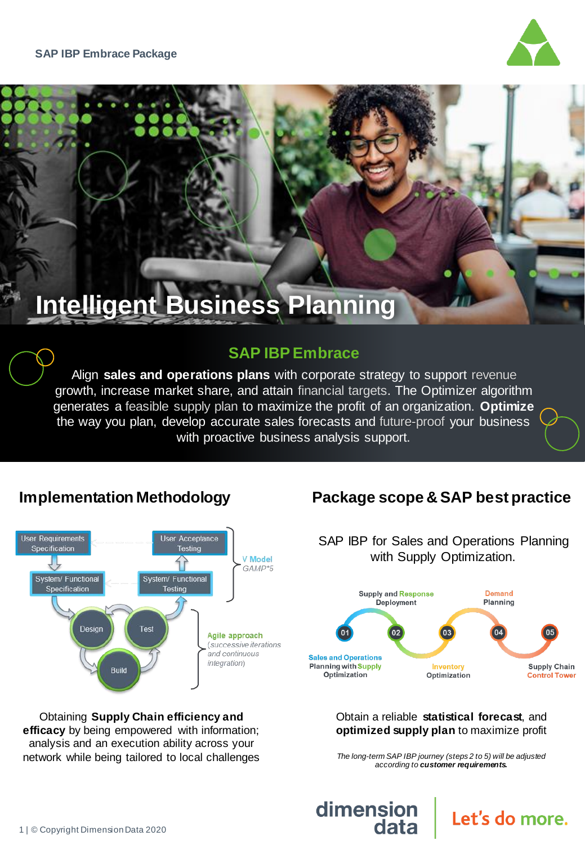

# **Intelligent Business Planning**

# **SAP IBP Embrace**

Align **sales and operations plans** with corporate strategy to support revenue growth, increase market share, and attain financial targets. The Optimizer algorithm generates a feasible supply plan to maximize the profit of an organization. **Optimize** the way you plan, develop accurate sales forecasts and future-proof your business with proactive business analysis support.

# **Implementation Methodology**



Obtaining **Supply Chain efficiency and efficacy** by being empowered with information; analysis and an execution ability across your network while being tailored to local challenges

# **Package scope & SAP best practice**

SAP IBP for Sales and Operations Planning with Supply Optimization. **Supply and Response Demand** Deployment Planning **Sales and Operations** Inventory **Planning with Supply Supply Chain** Optimization Optimization **Control Tower** 

#### Obtain a reliable **statistical forecast**, and **optimized supply plan** to maximize profit

*The long-term SAP IBP journey (steps 2 to 5) will be adjusted according to customer requirements.* 

Let's do more.

dimension

data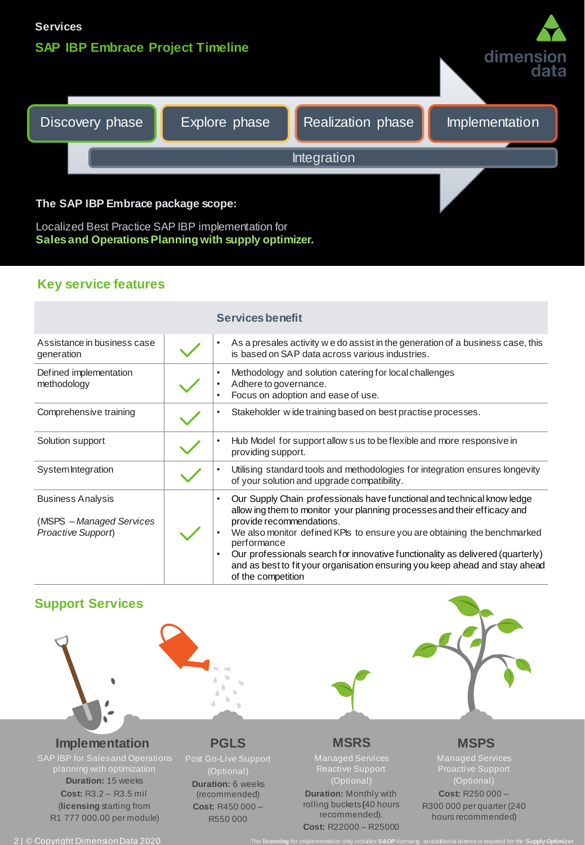



#### **The SAP IBP Embrace package scope:**

Localized Best Practice SAP IBP implementation for **Sales and Operations Planning with supply optimizer.**

### **Key service features**

|                                                                            | <b>Services benefit</b>                                                                                                                                                                                                                                                                                                                                                                                                                                           |
|----------------------------------------------------------------------------|-------------------------------------------------------------------------------------------------------------------------------------------------------------------------------------------------------------------------------------------------------------------------------------------------------------------------------------------------------------------------------------------------------------------------------------------------------------------|
| Assistance in business case<br>generation                                  | As a presales activity we do assist in the generation of a business case, this<br>is based on SAP data across various industries.                                                                                                                                                                                                                                                                                                                                 |
| Defined implementation<br>methodology                                      | Methodology and solution catering for local challenges<br>Adhere to governance.<br>Focus on adoption and ease of use.                                                                                                                                                                                                                                                                                                                                             |
| Comprehensive training                                                     | Stakeholder wide training based on best practise processes.                                                                                                                                                                                                                                                                                                                                                                                                       |
| Solution support                                                           | Hub Model for support allow sus to be flexible and more responsive in<br>providing support.                                                                                                                                                                                                                                                                                                                                                                       |
| System Integration                                                         | Utilising standard tools and methodologies for integration ensures longevity<br>of your solution and upgrade compatibility.                                                                                                                                                                                                                                                                                                                                       |
| <b>Business Analysis</b><br>(MSPS - Managed Services<br>Proactive Support) | Our Supply Chain professionals have functional and technical know ledge<br>allow ing them to monitor your planning processes and their efficacy and<br>provide recommendations.<br>We also monitor defined KPIs to ensure you are obtaining the benchmarked<br>performance<br>Our professionals search for innovative functionality as delivered (quarterly)<br>and as best to fit your organisation ensuring you keep ahead and stay ahead<br>of the competition |

## **Support Services**



### **Implementation**

SAP IBP for Sales and Operations planning with optimization **Duration:** 15 weeks **Cost:** R3.2 – R3.5 mil (**licensing** starting from R1 777 000.00 per module)



 $\mathbb{R}^2$ 

(Optional) **Duration:** 6 weeks (recommended) **Cost:** R450 000 – R550 000

### **MSRS**

Managed Services Reactive Support (Optional) **Duration:** Monthly with rolling buckets**(**40 hours recommended). **Cost:** R22000 – R25000

## **MSPS**

Managed Services Proactive Support (Optional) **Cost:** R250 000 – R300 000 per quarter (240 hours recommended)

2 | © Copyright Dimension Data 2020 The **licensing** for implementation only includes **S&OP** licensing, an additional license is required for the **Supply Optimizer**.